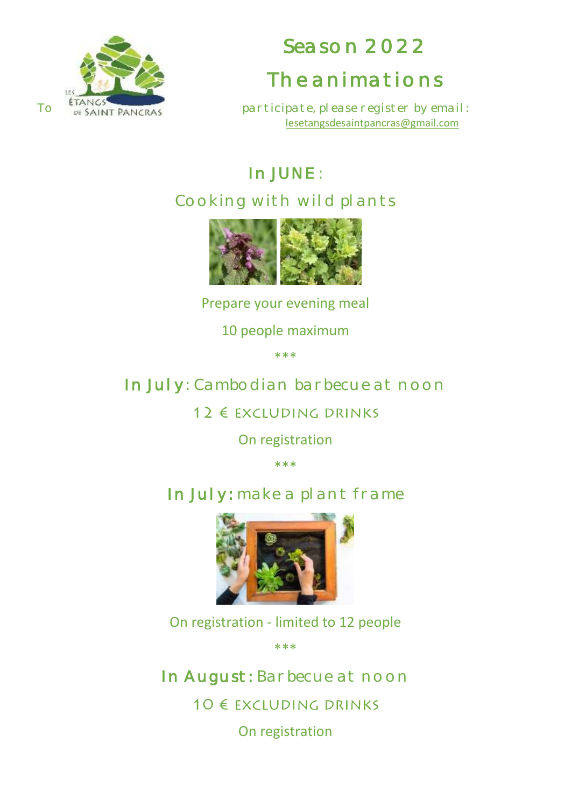

# Season 2022 The animations

To  $\frac{t_{\text{TANGS}}}{t_{\text{DS}}}\approx$  participate, please register by email: [lesetangsdesaintpancras@gmail.com](mailto:lesetangsdesaintpancras@gmail.com)

## In JUNE :

#### Cooking with wild plants



Prepare your evening meal

10 people maximum

\*\*\*

#### In July: Cambodian barbecue at noon

#### 12 € EXCLUDING DRINKS

On registration

\*\*\*

### In July: make a plant frame



On registration - limited to 12 people

\*\*\*

In August: Barbecue at noon

10 € EXCLUDING DRINKS

On registration